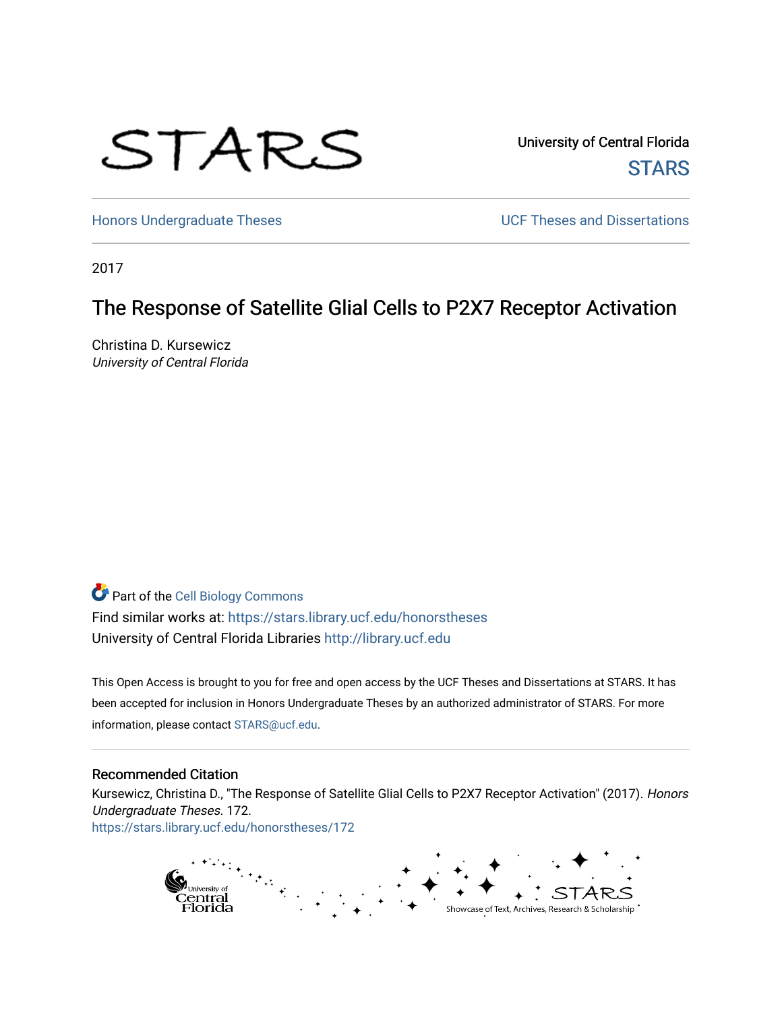# STARS

University of Central Florida **STARS** 

[Honors Undergraduate Theses](https://stars.library.ucf.edu/honorstheses) **Exercise 2018** UCF Theses and Dissertations

2017

# The Response of Satellite Glial Cells to P2X7 Receptor Activation

Christina D. Kursewicz University of Central Florida

# Part of the [Cell Biology Commons](http://network.bepress.com/hgg/discipline/10?utm_source=stars.library.ucf.edu%2Fhonorstheses%2F172&utm_medium=PDF&utm_campaign=PDFCoverPages)

Find similar works at: <https://stars.library.ucf.edu/honorstheses> University of Central Florida Libraries [http://library.ucf.edu](http://library.ucf.edu/) 

This Open Access is brought to you for free and open access by the UCF Theses and Dissertations at STARS. It has been accepted for inclusion in Honors Undergraduate Theses by an authorized administrator of STARS. For more information, please contact [STARS@ucf.edu.](mailto:STARS@ucf.edu)

#### Recommended Citation

Kursewicz, Christina D., "The Response of Satellite Glial Cells to P2X7 Receptor Activation" (2017). Honors Undergraduate Theses. 172. [https://stars.library.ucf.edu/honorstheses/172](https://stars.library.ucf.edu/honorstheses/172?utm_source=stars.library.ucf.edu%2Fhonorstheses%2F172&utm_medium=PDF&utm_campaign=PDFCoverPages) 

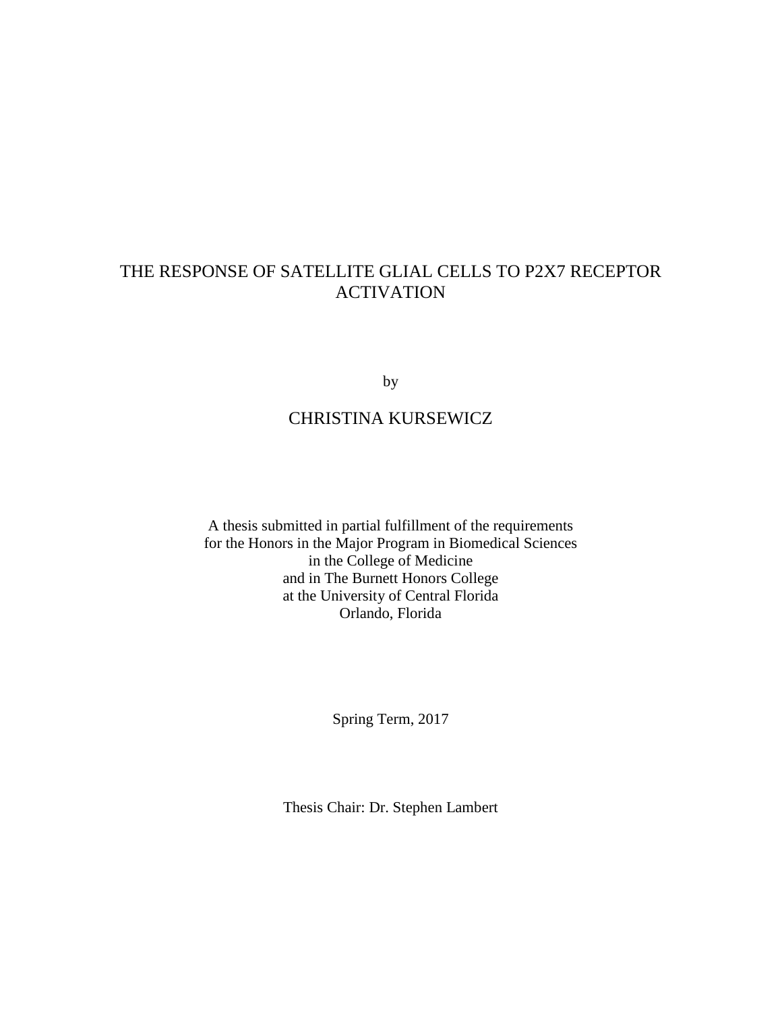## THE RESPONSE OF SATELLITE GLIAL CELLS TO P2X7 RECEPTOR ACTIVATION

by

# CHRISTINA KURSEWICZ

A thesis submitted in partial fulfillment of the requirements for the Honors in the Major Program in Biomedical Sciences in the College of Medicine and in The Burnett Honors College at the University of Central Florida Orlando, Florida

Spring Term, 2017

Thesis Chair: Dr. Stephen Lambert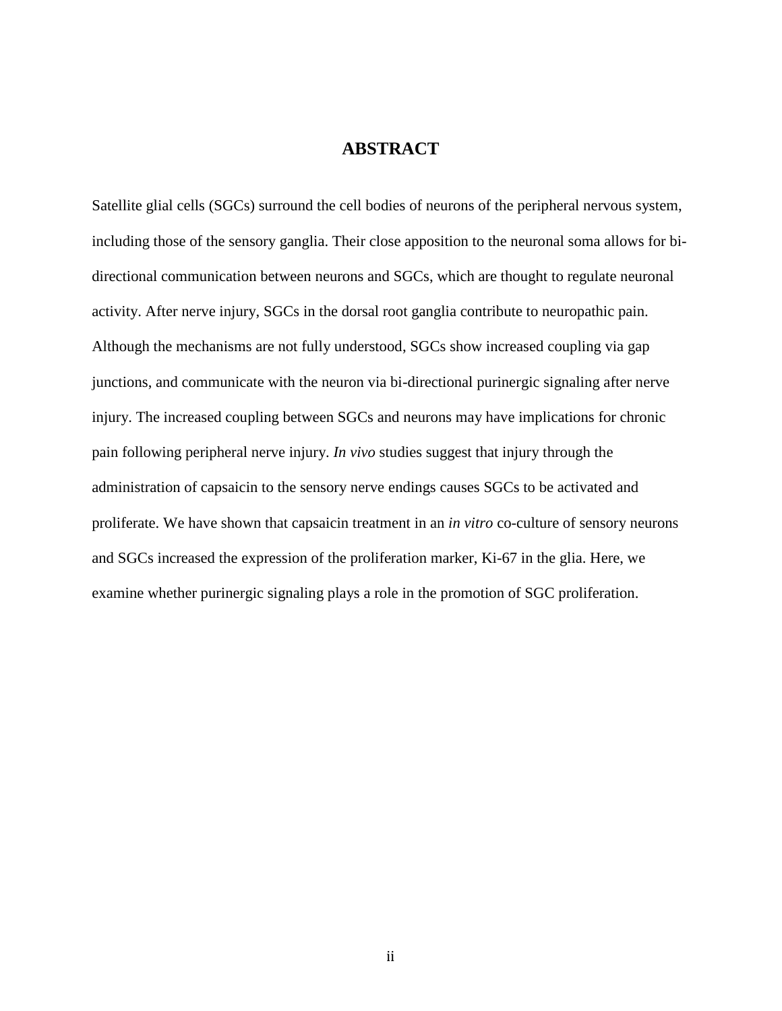## **ABSTRACT**

Satellite glial cells (SGCs) surround the cell bodies of neurons of the peripheral nervous system, including those of the sensory ganglia. Their close apposition to the neuronal soma allows for bidirectional communication between neurons and SGCs, which are thought to regulate neuronal activity. After nerve injury, SGCs in the dorsal root ganglia contribute to neuropathic pain. Although the mechanisms are not fully understood, SGCs show increased coupling via gap junctions, and communicate with the neuron via bi-directional purinergic signaling after nerve injury. The increased coupling between SGCs and neurons may have implications for chronic pain following peripheral nerve injury. *In vivo* studies suggest that injury through the administration of capsaicin to the sensory nerve endings causes SGCs to be activated and proliferate. We have shown that capsaicin treatment in an *in vitro* co-culture of sensory neurons and SGCs increased the expression of the proliferation marker, Ki-67 in the glia. Here, we examine whether purinergic signaling plays a role in the promotion of SGC proliferation.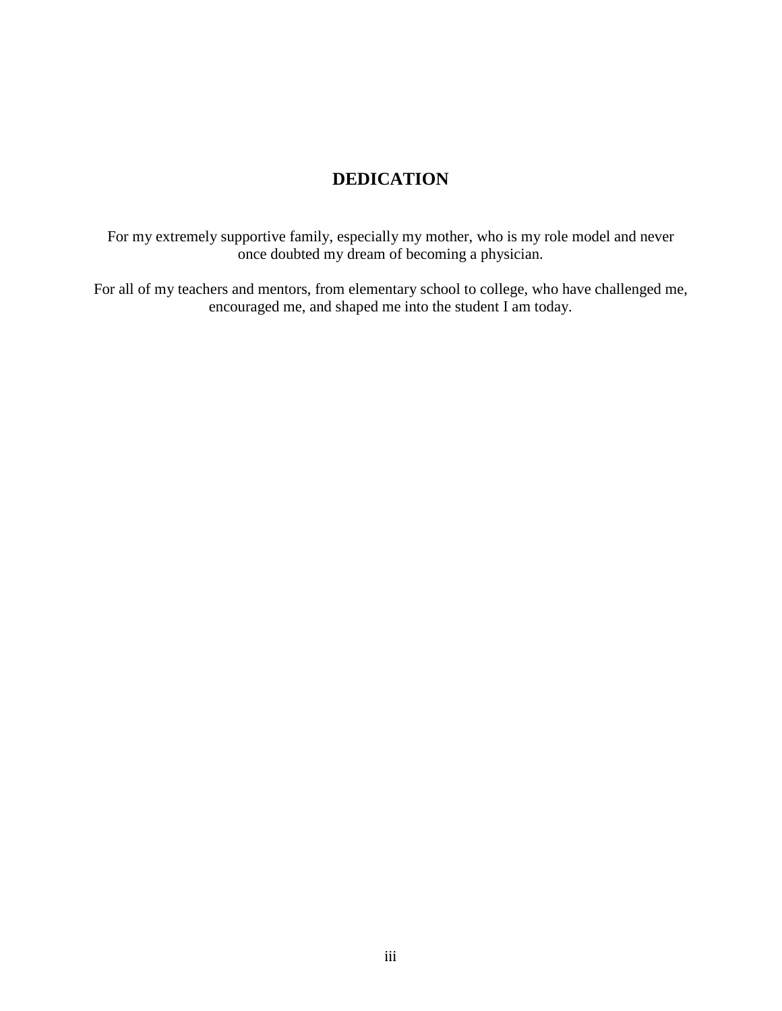# **DEDICATION**

For my extremely supportive family, especially my mother, who is my role model and never once doubted my dream of becoming a physician.

For all of my teachers and mentors, from elementary school to college, who have challenged me, encouraged me, and shaped me into the student I am today.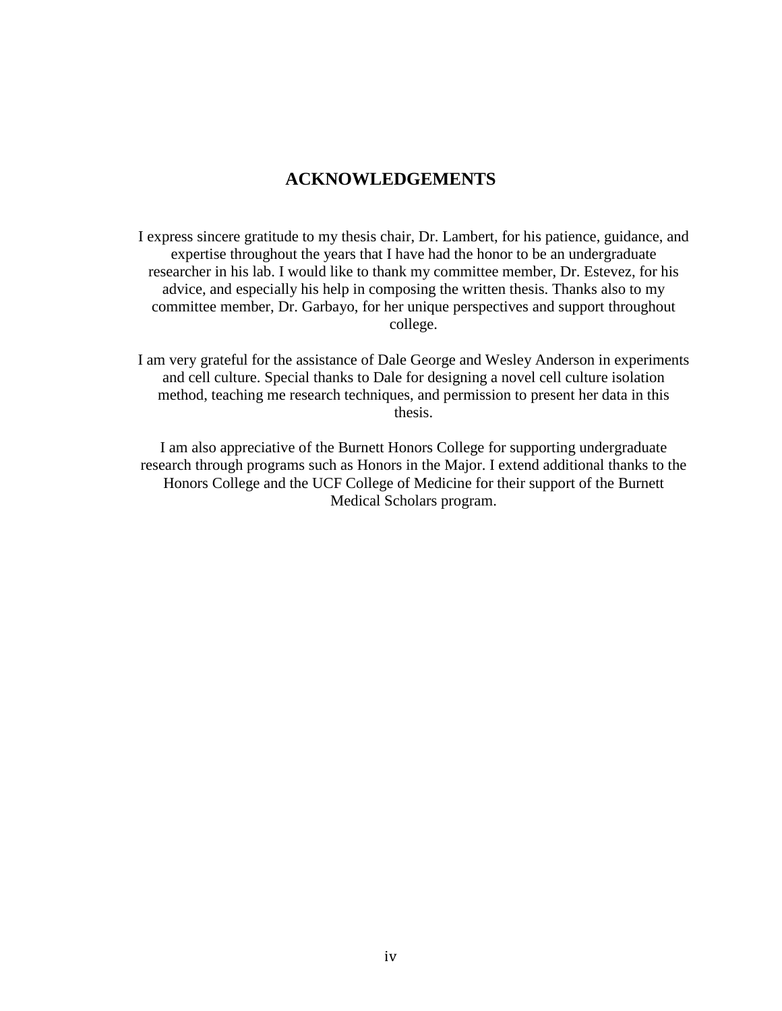## **ACKNOWLEDGEMENTS**

I express sincere gratitude to my thesis chair, Dr. Lambert, for his patience, guidance, and expertise throughout the years that I have had the honor to be an undergraduate researcher in his lab. I would like to thank my committee member, Dr. Estevez, for his advice, and especially his help in composing the written thesis. Thanks also to my committee member, Dr. Garbayo, for her unique perspectives and support throughout college.

I am very grateful for the assistance of Dale George and Wesley Anderson in experiments and cell culture. Special thanks to Dale for designing a novel cell culture isolation method, teaching me research techniques, and permission to present her data in this thesis.

I am also appreciative of the Burnett Honors College for supporting undergraduate research through programs such as Honors in the Major. I extend additional thanks to the Honors College and the UCF College of Medicine for their support of the Burnett Medical Scholars program.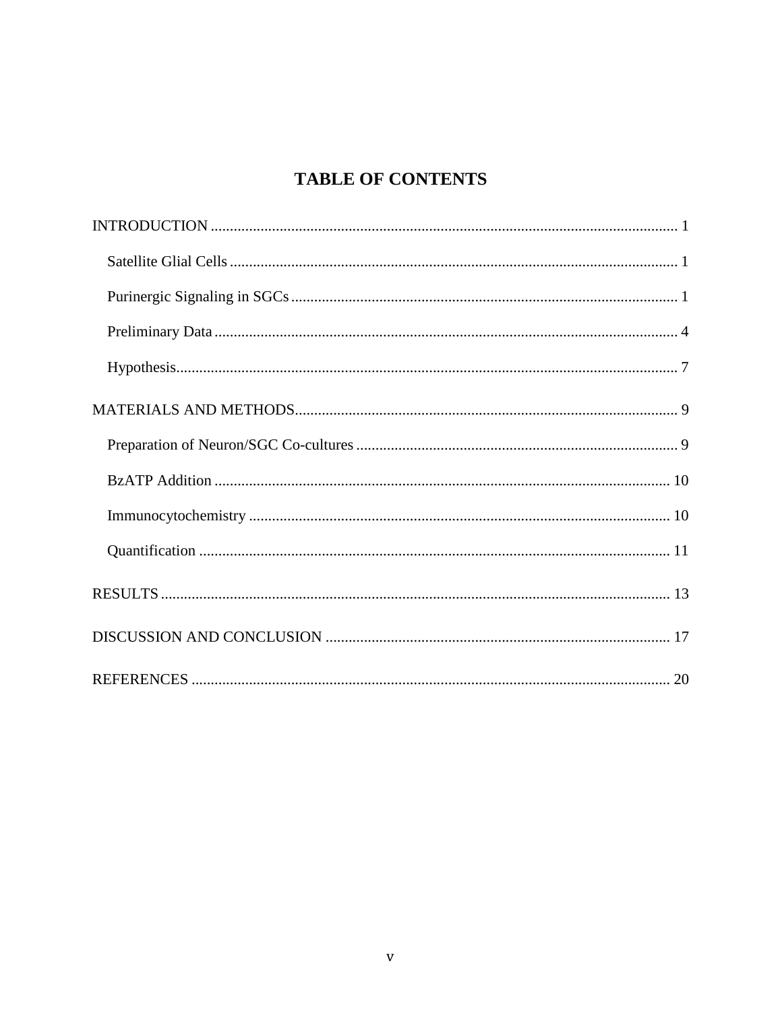# **TABLE OF CONTENTS**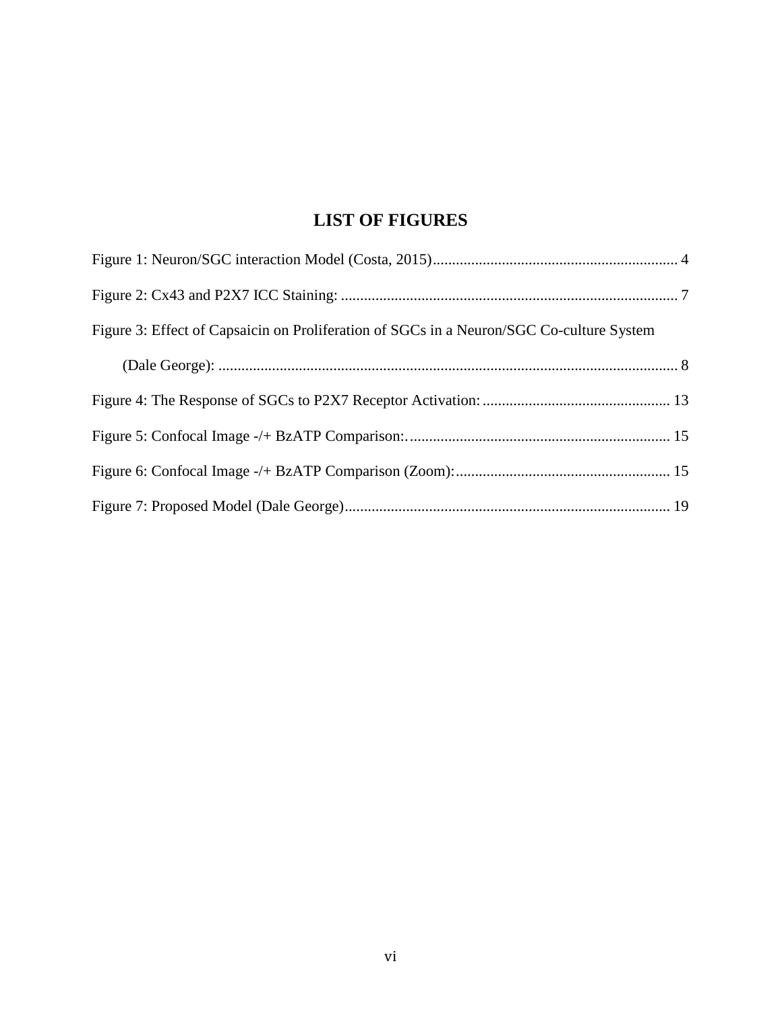# **LIST OF FIGURES**

| Figure 3: Effect of Capsaicin on Proliferation of SGCs in a Neuron/SGC Co-culture System |  |
|------------------------------------------------------------------------------------------|--|
|                                                                                          |  |
|                                                                                          |  |
|                                                                                          |  |
|                                                                                          |  |
|                                                                                          |  |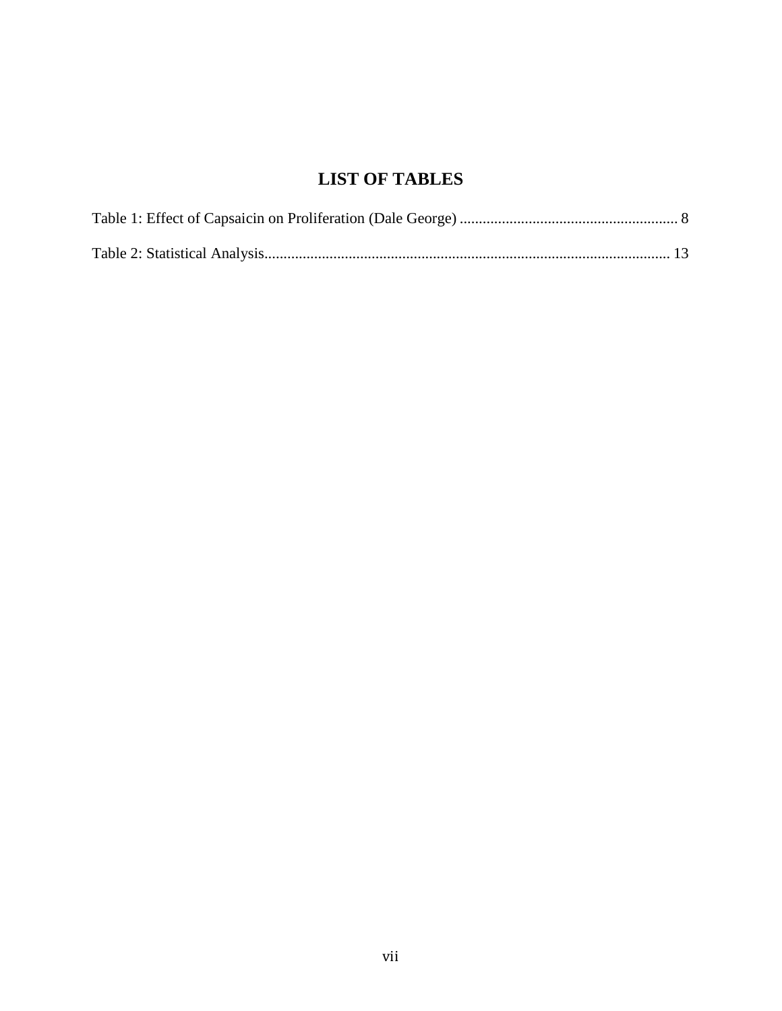# **LIST OF TABLES**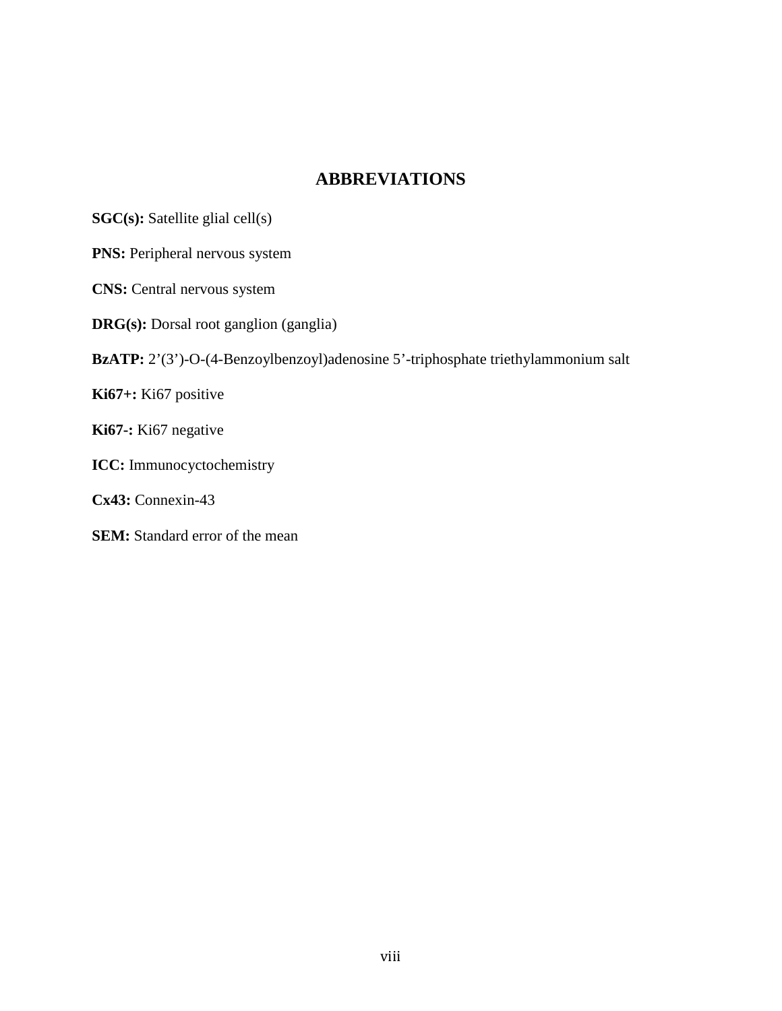## **ABBREVIATIONS**

**SGC(s):** Satellite glial cell(s)

**PNS:** Peripheral nervous system

**CNS:** Central nervous system

**DRG(s):** Dorsal root ganglion (ganglia)

**BzATP:** 2'(3')-O-(4-Benzoylbenzoyl)adenosine 5'-triphosphate triethylammonium salt

**Ki67+:** Ki67 positive

**Ki67-:** Ki67 negative

**ICC:** Immunocyctochemistry

**Cx43:** Connexin-43

**SEM:** Standard error of the mean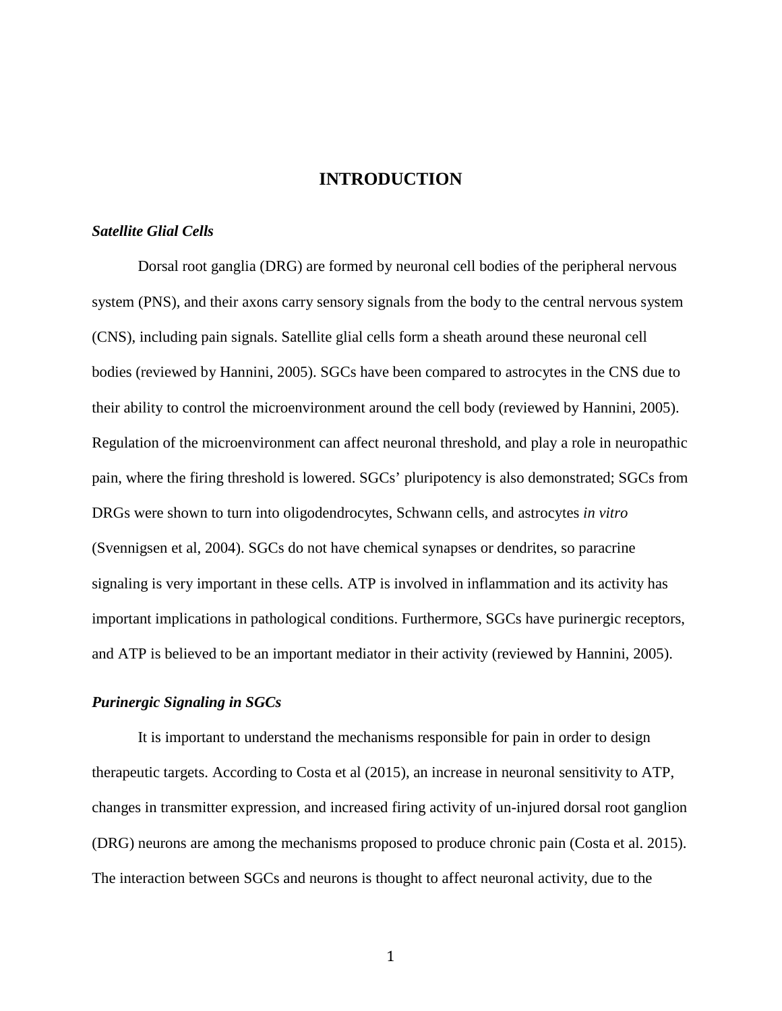#### **INTRODUCTION**

#### *Satellite Glial Cells*

Dorsal root ganglia (DRG) are formed by neuronal cell bodies of the peripheral nervous system (PNS), and their axons carry sensory signals from the body to the central nervous system (CNS), including pain signals. Satellite glial cells form a sheath around these neuronal cell bodies (reviewed by Hannini, 2005). SGCs have been compared to astrocytes in the CNS due to their ability to control the microenvironment around the cell body (reviewed by Hannini, 2005). Regulation of the microenvironment can affect neuronal threshold, and play a role in neuropathic pain, where the firing threshold is lowered. SGCs' pluripotency is also demonstrated; SGCs from DRGs were shown to turn into oligodendrocytes, Schwann cells, and astrocytes *in vitro*  (Svennigsen et al, 2004). SGCs do not have chemical synapses or dendrites, so paracrine signaling is very important in these cells. ATP is involved in inflammation and its activity has important implications in pathological conditions. Furthermore, SGCs have purinergic receptors, and ATP is believed to be an important mediator in their activity (reviewed by Hannini, 2005).

#### *Purinergic Signaling in SGCs*

It is important to understand the mechanisms responsible for pain in order to design therapeutic targets. According to Costa et al (2015), an increase in neuronal sensitivity to ATP, changes in transmitter expression, and increased firing activity of un-injured dorsal root ganglion (DRG) neurons are among the mechanisms proposed to produce chronic pain (Costa et al. 2015). The interaction between SGCs and neurons is thought to affect neuronal activity, due to the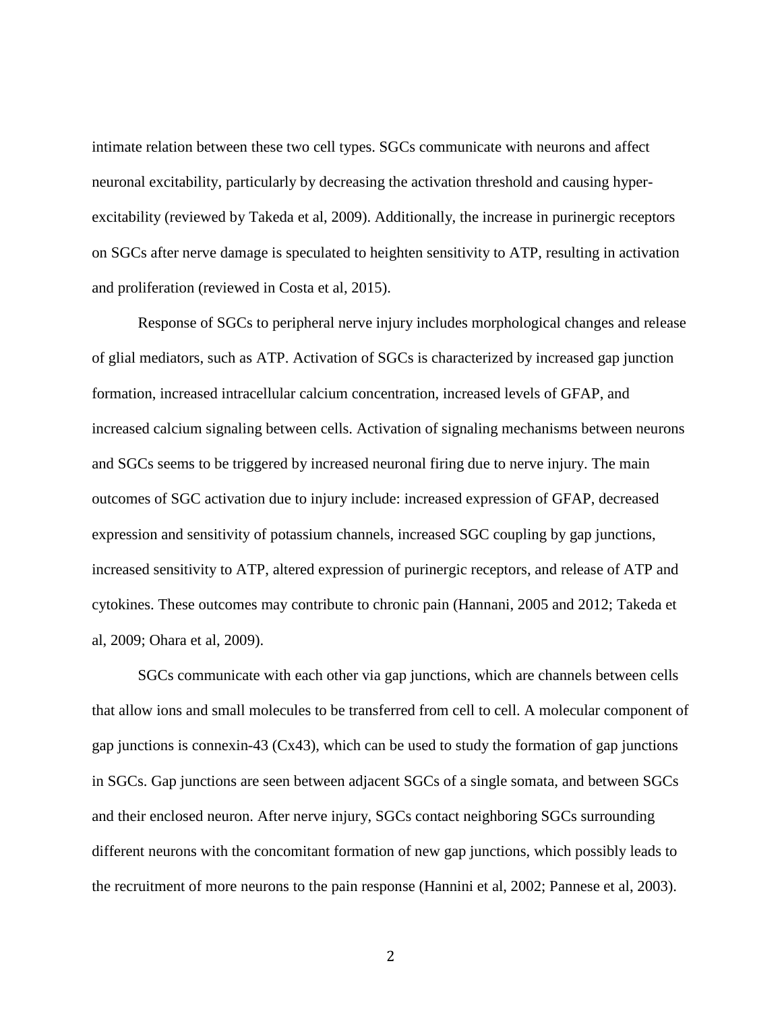intimate relation between these two cell types. SGCs communicate with neurons and affect neuronal excitability, particularly by decreasing the activation threshold and causing hyperexcitability (reviewed by Takeda et al, 2009). Additionally, the increase in purinergic receptors on SGCs after nerve damage is speculated to heighten sensitivity to ATP, resulting in activation and proliferation (reviewed in Costa et al, 2015).

Response of SGCs to peripheral nerve injury includes morphological changes and release of glial mediators, such as ATP. Activation of SGCs is characterized by increased gap junction formation, increased intracellular calcium concentration, increased levels of GFAP, and increased calcium signaling between cells. Activation of signaling mechanisms between neurons and SGCs seems to be triggered by increased neuronal firing due to nerve injury. The main outcomes of SGC activation due to injury include: increased expression of GFAP, decreased expression and sensitivity of potassium channels, increased SGC coupling by gap junctions, increased sensitivity to ATP, altered expression of purinergic receptors, and release of ATP and cytokines. These outcomes may contribute to chronic pain (Hannani, 2005 and 2012; Takeda et al, 2009; Ohara et al, 2009).

SGCs communicate with each other via gap junctions, which are channels between cells that allow ions and small molecules to be transferred from cell to cell. A molecular component of gap junctions is connexin-43 (Cx43), which can be used to study the formation of gap junctions in SGCs. Gap junctions are seen between adjacent SGCs of a single somata, and between SGCs and their enclosed neuron. After nerve injury, SGCs contact neighboring SGCs surrounding different neurons with the concomitant formation of new gap junctions, which possibly leads to the recruitment of more neurons to the pain response (Hannini et al, 2002; Pannese et al, 2003).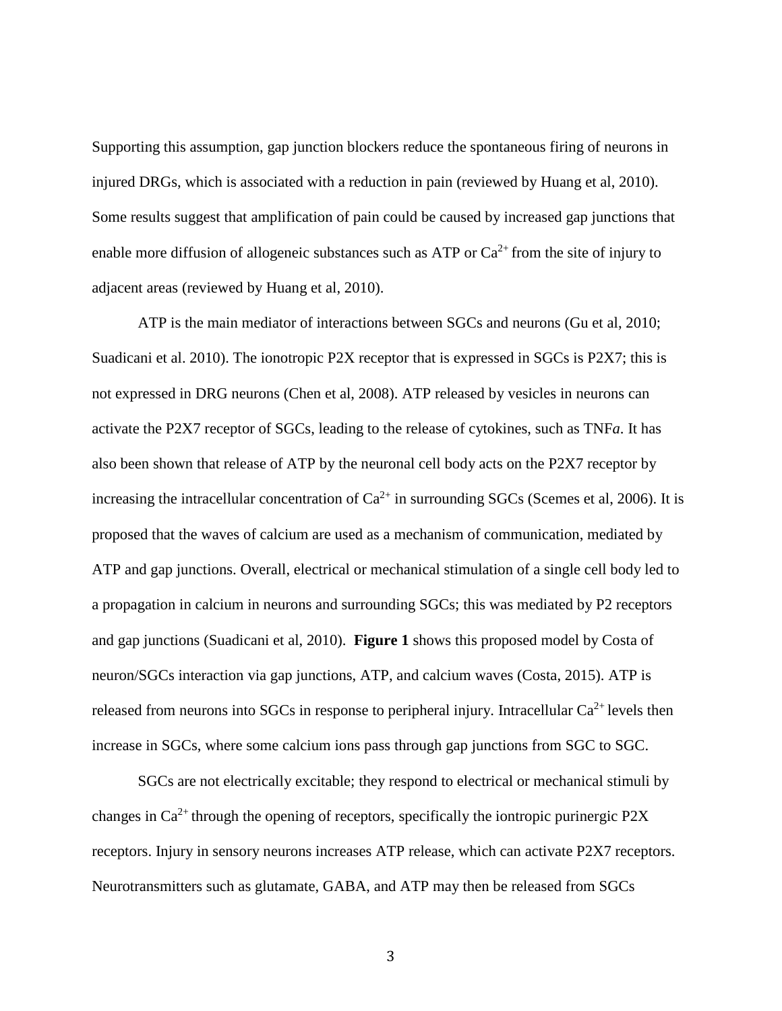Supporting this assumption, gap junction blockers reduce the spontaneous firing of neurons in injured DRGs, which is associated with a reduction in pain (reviewed by Huang et al, 2010). Some results suggest that amplification of pain could be caused by increased gap junctions that enable more diffusion of allogeneic substances such as ATP or  $Ca^{2+}$  from the site of injury to adjacent areas (reviewed by Huang et al, 2010).

ATP is the main mediator of interactions between SGCs and neurons (Gu et al, 2010; Suadicani et al. 2010). The ionotropic P2X receptor that is expressed in SGCs is P2X7; this is not expressed in DRG neurons (Chen et al, 2008). ATP released by vesicles in neurons can activate the P2X7 receptor of SGCs, leading to the release of cytokines, such as TNF*a*. It has also been shown that release of ATP by the neuronal cell body acts on the P2X7 receptor by increasing the intracellular concentration of  $Ca^{2+}$  in surrounding SGCs (Scemes et al, 2006). It is proposed that the waves of calcium are used as a mechanism of communication, mediated by ATP and gap junctions. Overall, electrical or mechanical stimulation of a single cell body led to a propagation in calcium in neurons and surrounding SGCs; this was mediated by P2 receptors and gap junctions (Suadicani et al, 2010). **Figure 1** shows this proposed model by Costa of neuron/SGCs interaction via gap junctions, ATP, and calcium waves (Costa, 2015). ATP is released from neurons into SGCs in response to peripheral injury. Intracellular  $Ca^{2+}$  levels then increase in SGCs, where some calcium ions pass through gap junctions from SGC to SGC.

SGCs are not electrically excitable; they respond to electrical or mechanical stimuli by changes in  $Ca^{2+}$  through the opening of receptors, specifically the iontropic purinergic P2X receptors. Injury in sensory neurons increases ATP release, which can activate P2X7 receptors. Neurotransmitters such as glutamate, GABA, and ATP may then be released from SGCs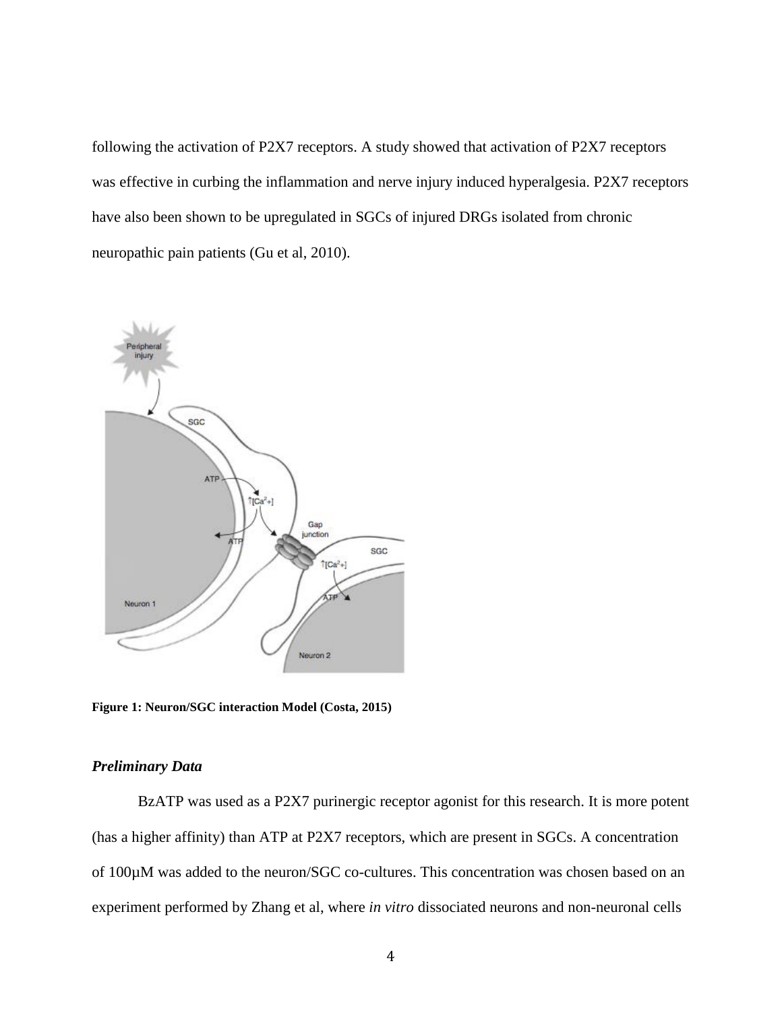following the activation of P2X7 receptors. A study showed that activation of P2X7 receptors was effective in curbing the inflammation and nerve injury induced hyperalgesia. P2X7 receptors have also been shown to be upregulated in SGCs of injured DRGs isolated from chronic neuropathic pain patients (Gu et al, 2010).



**Figure 1: Neuron/SGC interaction Model (Costa, 2015)**

#### *Preliminary Data*

BzATP was used as a P2X7 purinergic receptor agonist for this research. It is more potent (has a higher affinity) than ATP at P2X7 receptors, which are present in SGCs. A concentration of 100µM was added to the neuron/SGC co-cultures. This concentration was chosen based on an experiment performed by Zhang et al, where *in vitro* dissociated neurons and non-neuronal cells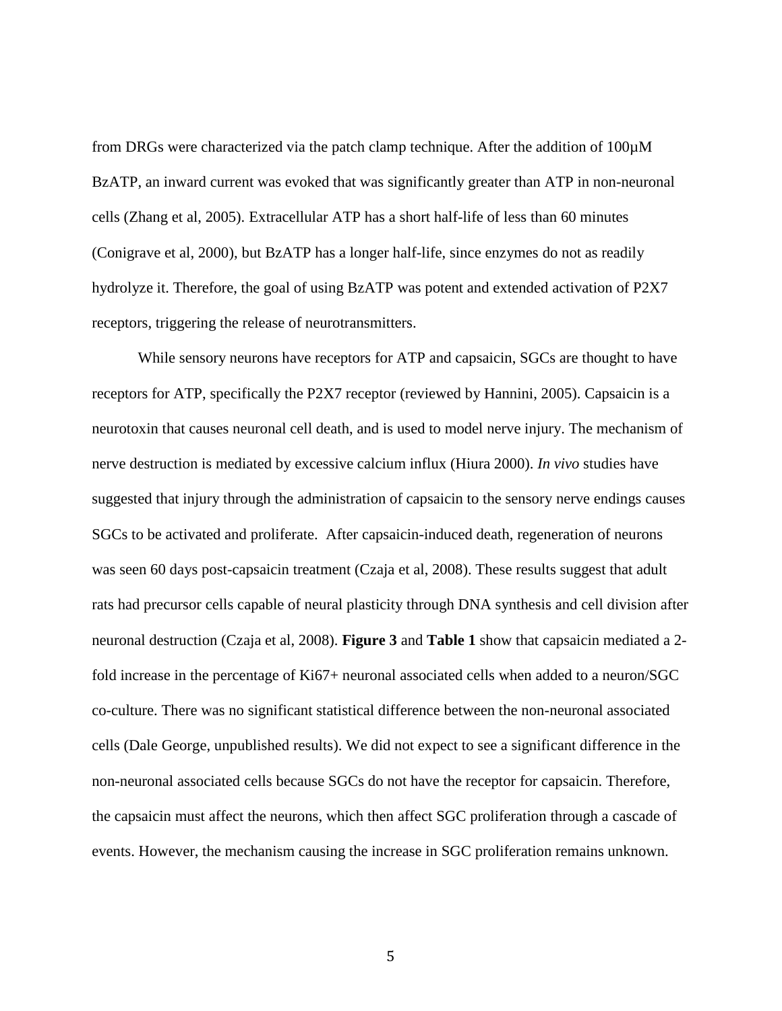from DRGs were characterized via the patch clamp technique. After the addition of 100µM BzATP, an inward current was evoked that was significantly greater than ATP in non-neuronal cells (Zhang et al, 2005). Extracellular ATP has a short half-life of less than 60 minutes (Conigrave et al, 2000), but BzATP has a longer half-life, since enzymes do not as readily hydrolyze it. Therefore, the goal of using BzATP was potent and extended activation of P2X7 receptors, triggering the release of neurotransmitters.

While sensory neurons have receptors for ATP and capsaicin, SGCs are thought to have receptors for ATP, specifically the P2X7 receptor (reviewed by Hannini, 2005). Capsaicin is a neurotoxin that causes neuronal cell death, and is used to model nerve injury. The mechanism of nerve destruction is mediated by excessive calcium influx (Hiura 2000). *In vivo* studies have suggested that injury through the administration of capsaicin to the sensory nerve endings causes SGCs to be activated and proliferate. After capsaicin-induced death, regeneration of neurons was seen 60 days post-capsaicin treatment (Czaja et al, 2008). These results suggest that adult rats had precursor cells capable of neural plasticity through DNA synthesis and cell division after neuronal destruction (Czaja et al, 2008). **Figure 3** and **Table 1** show that capsaicin mediated a 2 fold increase in the percentage of Ki67+ neuronal associated cells when added to a neuron/SGC co-culture. There was no significant statistical difference between the non-neuronal associated cells (Dale George, unpublished results). We did not expect to see a significant difference in the non-neuronal associated cells because SGCs do not have the receptor for capsaicin. Therefore, the capsaicin must affect the neurons, which then affect SGC proliferation through a cascade of events. However, the mechanism causing the increase in SGC proliferation remains unknown.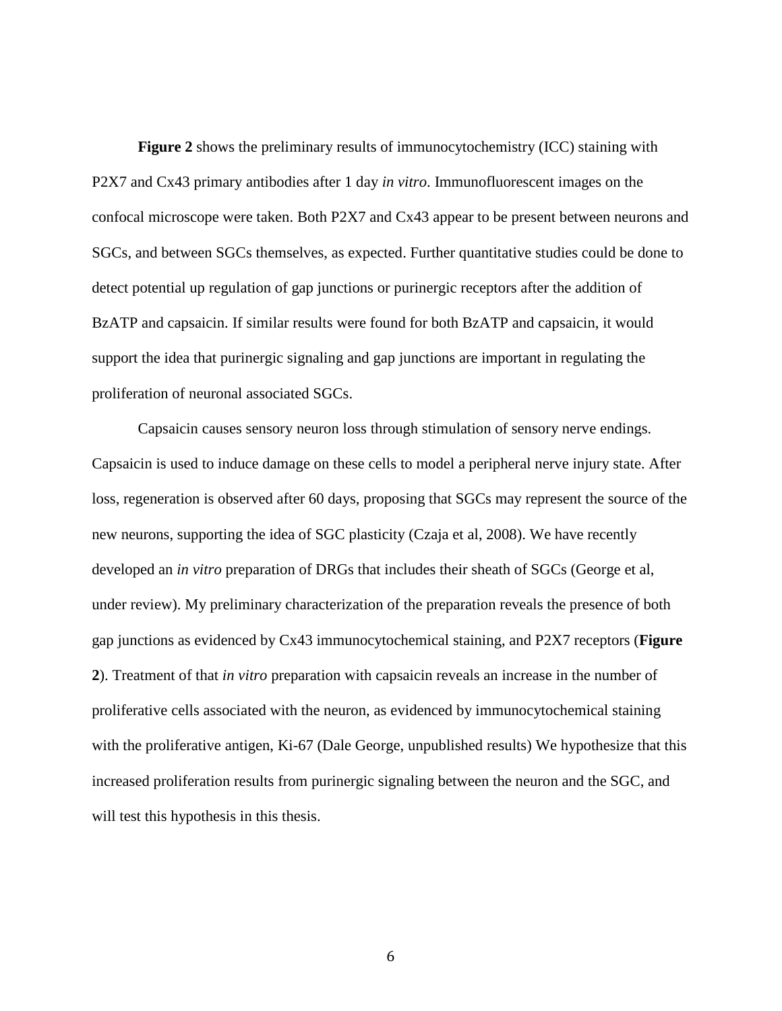**Figure 2** shows the preliminary results of immunocytochemistry (ICC) staining with P2X7 and Cx43 primary antibodies after 1 day *in vitro*. Immunofluorescent images on the confocal microscope were taken. Both P2X7 and Cx43 appear to be present between neurons and SGCs, and between SGCs themselves, as expected. Further quantitative studies could be done to detect potential up regulation of gap junctions or purinergic receptors after the addition of BzATP and capsaicin. If similar results were found for both BzATP and capsaicin, it would support the idea that purinergic signaling and gap junctions are important in regulating the proliferation of neuronal associated SGCs.

Capsaicin causes sensory neuron loss through stimulation of sensory nerve endings. Capsaicin is used to induce damage on these cells to model a peripheral nerve injury state. After loss, regeneration is observed after 60 days, proposing that SGCs may represent the source of the new neurons, supporting the idea of SGC plasticity (Czaja et al, 2008). We have recently developed an *in vitro* preparation of DRGs that includes their sheath of SGCs (George et al, under review). My preliminary characterization of the preparation reveals the presence of both gap junctions as evidenced by Cx43 immunocytochemical staining, and P2X7 receptors (**Figure 2**). Treatment of that *in vitro* preparation with capsaicin reveals an increase in the number of proliferative cells associated with the neuron, as evidenced by immunocytochemical staining with the proliferative antigen, Ki-67 (Dale George, unpublished results) We hypothesize that this increased proliferation results from purinergic signaling between the neuron and the SGC, and will test this hypothesis in this thesis.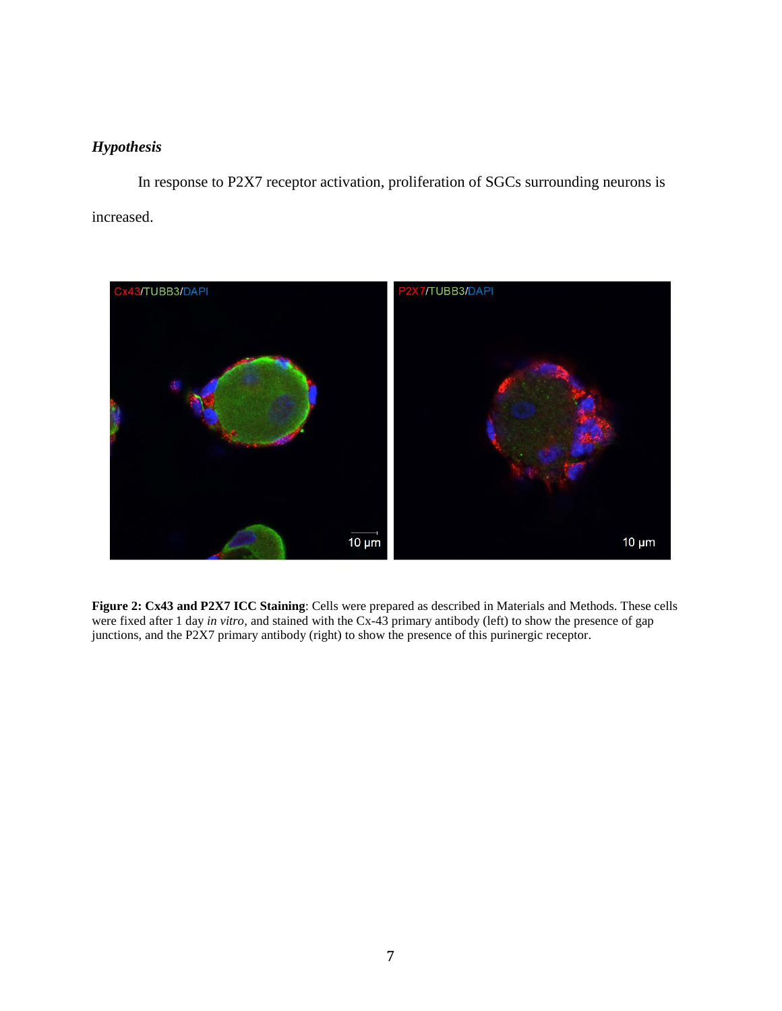## *Hypothesis*

In response to P2X7 receptor activation, proliferation of SGCs surrounding neurons is increased.



**Figure 2: Cx43 and P2X7 ICC Staining**: Cells were prepared as described in Materials and Methods. These cells were fixed after 1 day *in vitro*, and stained with the Cx-43 primary antibody (left) to show the presence of gap junctions, and the P2X7 primary antibody (right) to show the presence of this purinergic receptor.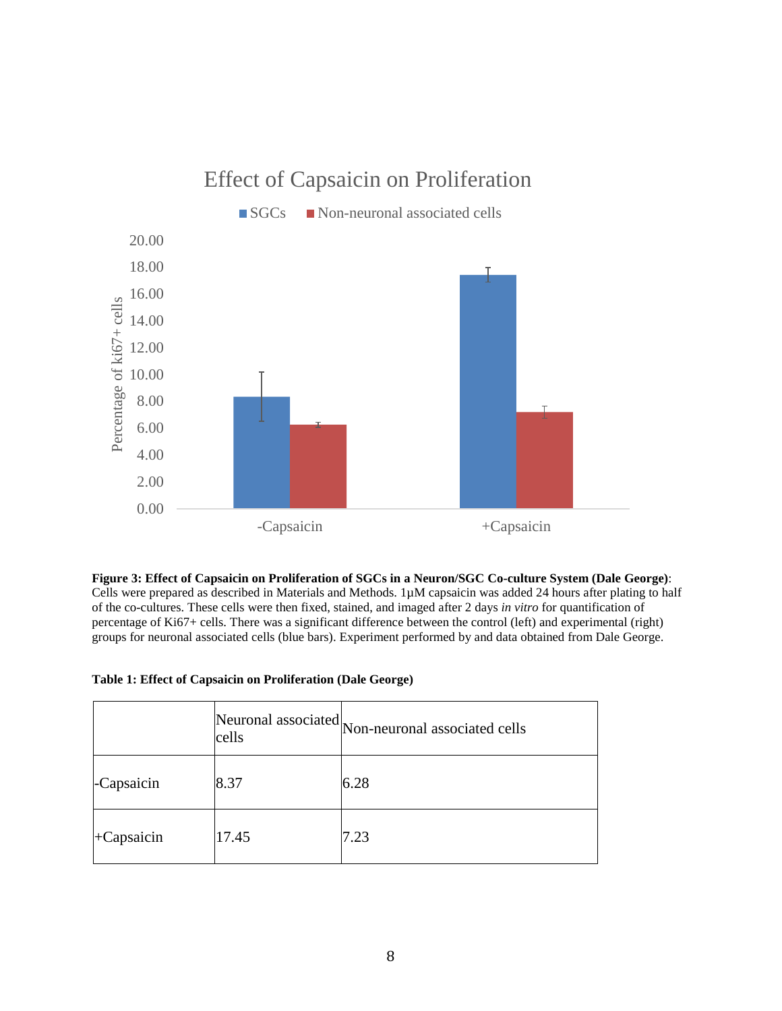

# Effect of Capsaicin on Proliferation

**Figure 3: Effect of Capsaicin on Proliferation of SGCs in a Neuron/SGC Co-culture System (Dale George)**: Cells were prepared as described in Materials and Methods. 1µM capsaicin was added 24 hours after plating to half of the co-cultures. These cells were then fixed, stained, and imaged after 2 days *in vitro* for quantification of percentage of Ki67+ cells. There was a significant difference between the control (left) and experimental (right) groups for neuronal associated cells (blue bars). Experiment performed by and data obtained from Dale George.

|               | cells | Neuronal associated Non-neuronal associated cells |
|---------------|-------|---------------------------------------------------|
| -Capsaicin    | 8.37  | 6.28                                              |
| $+C$ apsaicin | 17.45 | 7.23                                              |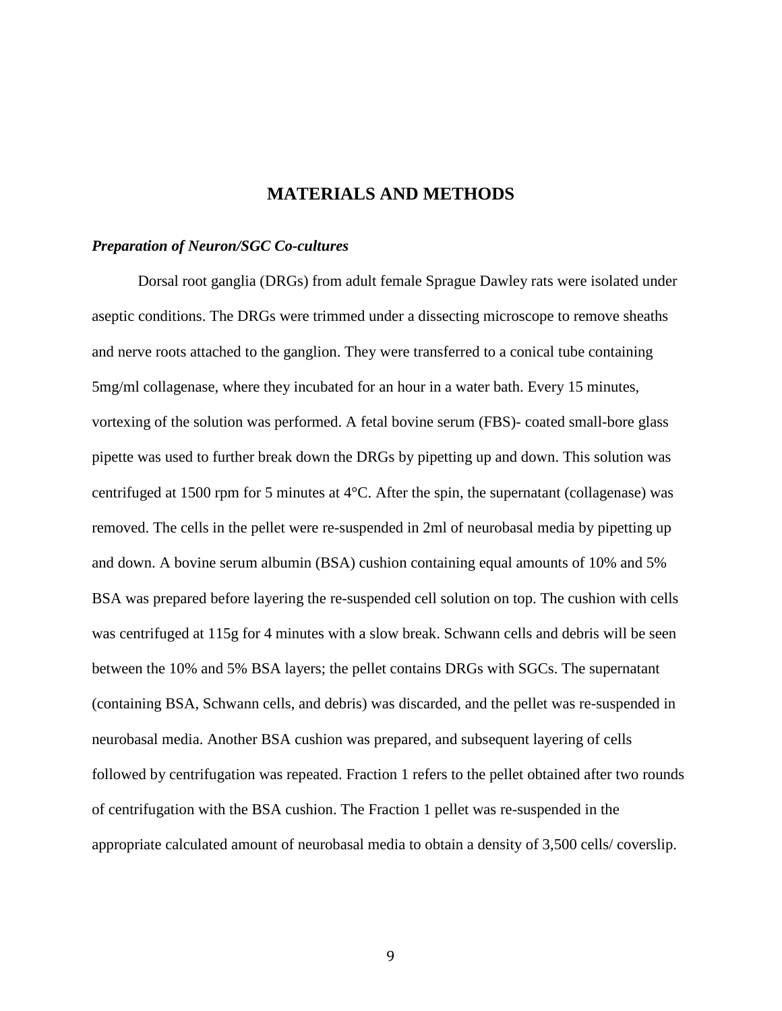#### **MATERIALS AND METHODS**

#### *Preparation of Neuron/SGC Co-cultures*

Dorsal root ganglia (DRGs) from adult female Sprague Dawley rats were isolated under aseptic conditions. The DRGs were trimmed under a dissecting microscope to remove sheaths and nerve roots attached to the ganglion. They were transferred to a conical tube containing 5mg/ml collagenase, where they incubated for an hour in a water bath. Every 15 minutes, vortexing of the solution was performed. A fetal bovine serum (FBS)- coated small-bore glass pipette was used to further break down the DRGs by pipetting up and down. This solution was centrifuged at 1500 rpm for 5 minutes at 4°C. After the spin, the supernatant (collagenase) was removed. The cells in the pellet were re-suspended in 2ml of neurobasal media by pipetting up and down. A bovine serum albumin (BSA) cushion containing equal amounts of 10% and 5% BSA was prepared before layering the re-suspended cell solution on top. The cushion with cells was centrifuged at 115g for 4 minutes with a slow break. Schwann cells and debris will be seen between the 10% and 5% BSA layers; the pellet contains DRGs with SGCs. The supernatant (containing BSA, Schwann cells, and debris) was discarded, and the pellet was re-suspended in neurobasal media. Another BSA cushion was prepared, and subsequent layering of cells followed by centrifugation was repeated. Fraction 1 refers to the pellet obtained after two rounds of centrifugation with the BSA cushion. The Fraction 1 pellet was re-suspended in the appropriate calculated amount of neurobasal media to obtain a density of 3,500 cells/ coverslip.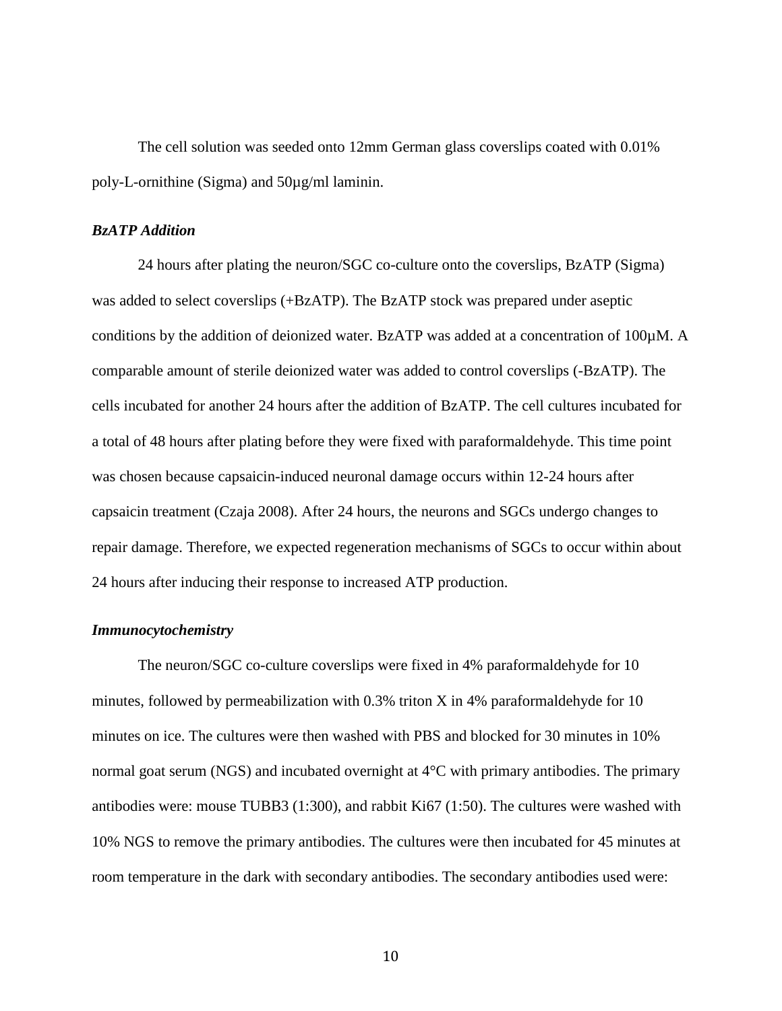The cell solution was seeded onto 12mm German glass coverslips coated with 0.01% poly-L-ornithine (Sigma) and 50µg/ml laminin.

#### *BzATP Addition*

24 hours after plating the neuron/SGC co-culture onto the coverslips, BzATP (Sigma) was added to select coverslips (+BzATP). The BzATP stock was prepared under aseptic conditions by the addition of deionized water. BzATP was added at a concentration of 100µM. A comparable amount of sterile deionized water was added to control coverslips (-BzATP). The cells incubated for another 24 hours after the addition of BzATP. The cell cultures incubated for a total of 48 hours after plating before they were fixed with paraformaldehyde. This time point was chosen because capsaicin-induced neuronal damage occurs within 12-24 hours after capsaicin treatment (Czaja 2008). After 24 hours, the neurons and SGCs undergo changes to repair damage. Therefore, we expected regeneration mechanisms of SGCs to occur within about 24 hours after inducing their response to increased ATP production.

#### *Immunocytochemistry*

The neuron/SGC co-culture coverslips were fixed in 4% paraformaldehyde for 10 minutes, followed by permeabilization with 0.3% triton X in 4% paraformaldehyde for 10 minutes on ice. The cultures were then washed with PBS and blocked for 30 minutes in 10% normal goat serum (NGS) and incubated overnight at 4°C with primary antibodies. The primary antibodies were: mouse TUBB3 (1:300), and rabbit Ki67 (1:50). The cultures were washed with 10% NGS to remove the primary antibodies. The cultures were then incubated for 45 minutes at room temperature in the dark with secondary antibodies. The secondary antibodies used were: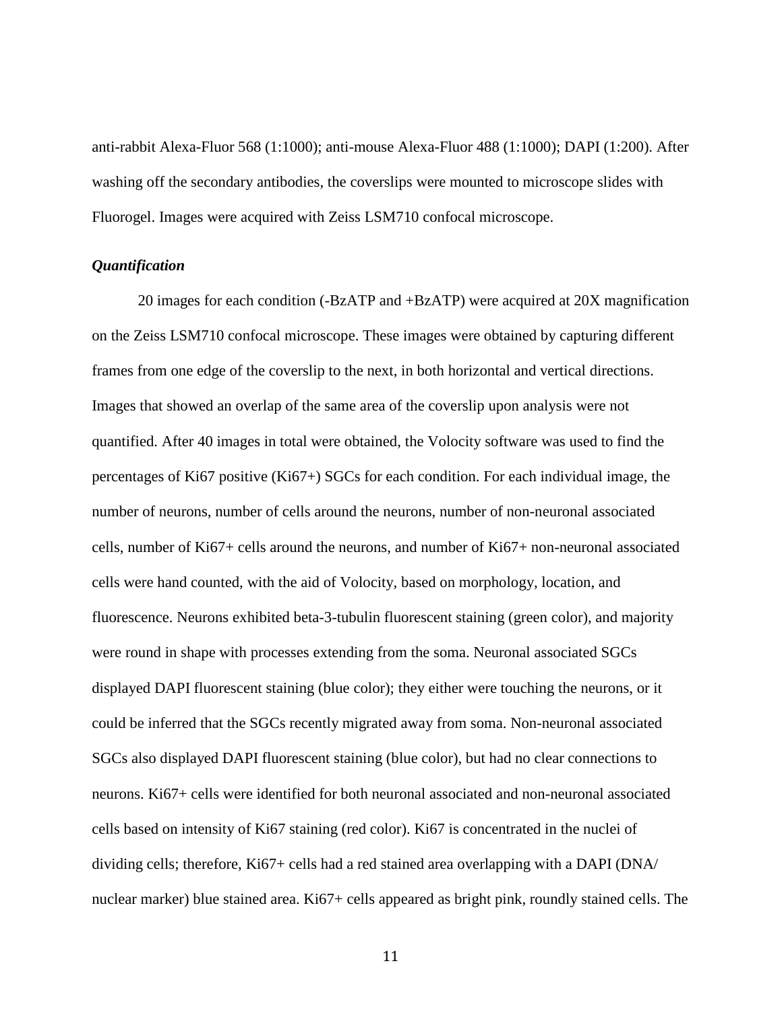anti-rabbit Alexa-Fluor 568 (1:1000); anti-mouse Alexa-Fluor 488 (1:1000); DAPI (1:200). After washing off the secondary antibodies, the coverslips were mounted to microscope slides with Fluorogel. Images were acquired with Zeiss LSM710 confocal microscope.

#### *Quantification*

20 images for each condition (-BzATP and +BzATP) were acquired at 20X magnification on the Zeiss LSM710 confocal microscope. These images were obtained by capturing different frames from one edge of the coverslip to the next, in both horizontal and vertical directions. Images that showed an overlap of the same area of the coverslip upon analysis were not quantified. After 40 images in total were obtained, the Volocity software was used to find the percentages of Ki67 positive (Ki67+) SGCs for each condition. For each individual image, the number of neurons, number of cells around the neurons, number of non-neuronal associated cells, number of Ki67+ cells around the neurons, and number of Ki67+ non-neuronal associated cells were hand counted, with the aid of Volocity, based on morphology, location, and fluorescence. Neurons exhibited beta-3-tubulin fluorescent staining (green color), and majority were round in shape with processes extending from the soma. Neuronal associated SGCs displayed DAPI fluorescent staining (blue color); they either were touching the neurons, or it could be inferred that the SGCs recently migrated away from soma. Non-neuronal associated SGCs also displayed DAPI fluorescent staining (blue color), but had no clear connections to neurons. Ki67+ cells were identified for both neuronal associated and non-neuronal associated cells based on intensity of Ki67 staining (red color). Ki67 is concentrated in the nuclei of dividing cells; therefore, Ki67+ cells had a red stained area overlapping with a DAPI (DNA/ nuclear marker) blue stained area. Ki67+ cells appeared as bright pink, roundly stained cells. The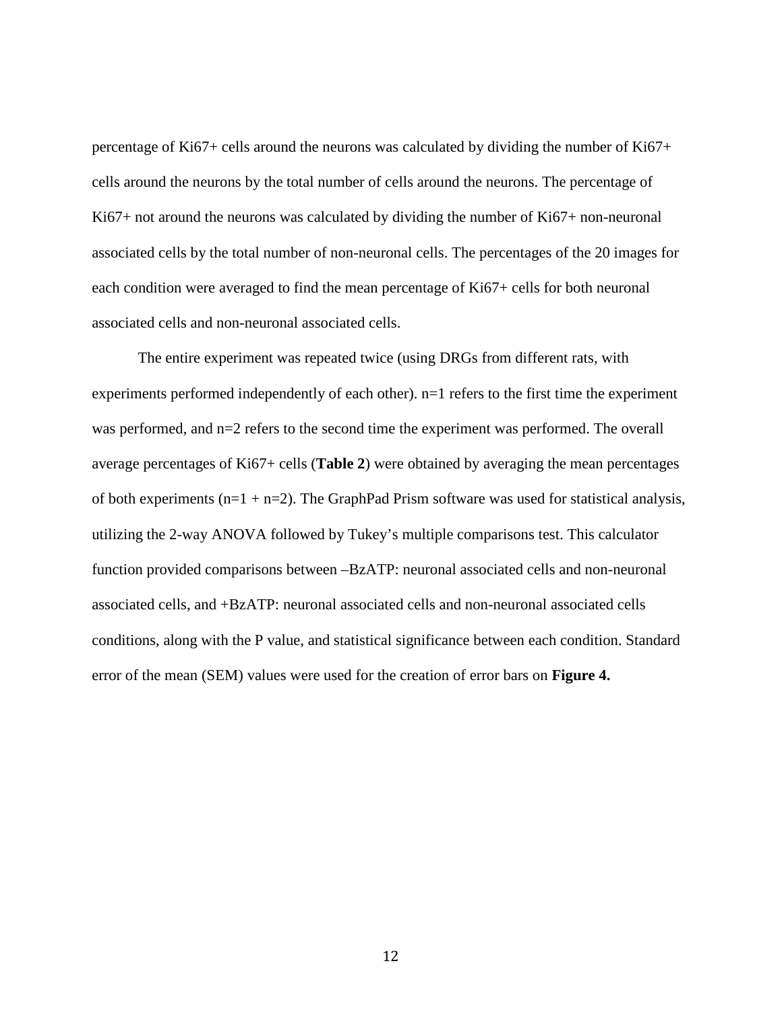percentage of Ki67+ cells around the neurons was calculated by dividing the number of Ki67+ cells around the neurons by the total number of cells around the neurons. The percentage of Ki67+ not around the neurons was calculated by dividing the number of Ki67+ non-neuronal associated cells by the total number of non-neuronal cells. The percentages of the 20 images for each condition were averaged to find the mean percentage of Ki67+ cells for both neuronal associated cells and non-neuronal associated cells.

The entire experiment was repeated twice (using DRGs from different rats, with experiments performed independently of each other).  $n=1$  refers to the first time the experiment was performed, and n=2 refers to the second time the experiment was performed. The overall average percentages of Ki67+ cells (**Table 2**) were obtained by averaging the mean percentages of both experiments  $(n=1 + n=2)$ . The GraphPad Prism software was used for statistical analysis, utilizing the 2-way ANOVA followed by Tukey's multiple comparisons test. This calculator function provided comparisons between –BzATP: neuronal associated cells and non-neuronal associated cells, and +BzATP: neuronal associated cells and non-neuronal associated cells conditions, along with the P value, and statistical significance between each condition. Standard error of the mean (SEM) values were used for the creation of error bars on **Figure 4.**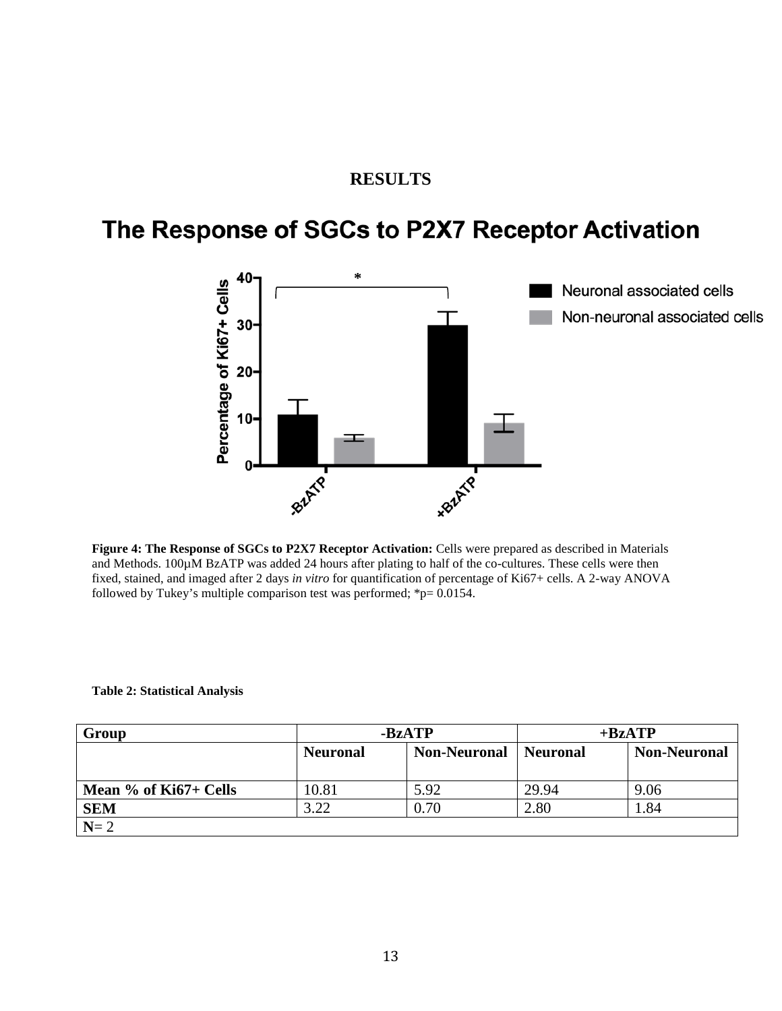## **RESULTS**

# The Response of SGCs to P2X7 Receptor Activation



**Figure 4: The Response of SGCs to P2X7 Receptor Activation:** Cells were prepared as described in Materials and Methods. 100µM BzATP was added 24 hours after plating to half of the co-cultures. These cells were then fixed, stained, and imaged after 2 days *in vitro* for quantification of percentage of Ki67+ cells. A 2-way ANOVA followed by Tukey's multiple comparison test was performed;  $\approx p= 0.0154$ .

#### **Table 2: Statistical Analysis**

| Group                 | -BzATP          |                     | $+BzATP$        |                     |
|-----------------------|-----------------|---------------------|-----------------|---------------------|
|                       | <b>Neuronal</b> | <b>Non-Neuronal</b> | <b>Neuronal</b> | <b>Non-Neuronal</b> |
|                       |                 |                     |                 |                     |
| Mean % of Ki67+ Cells | 10.81           | 5.92                | 29.94           | 9.06                |
| <b>SEM</b>            | 3.22            | 0.70                | 2.80            | 1.84                |
| $N=2$                 |                 |                     |                 |                     |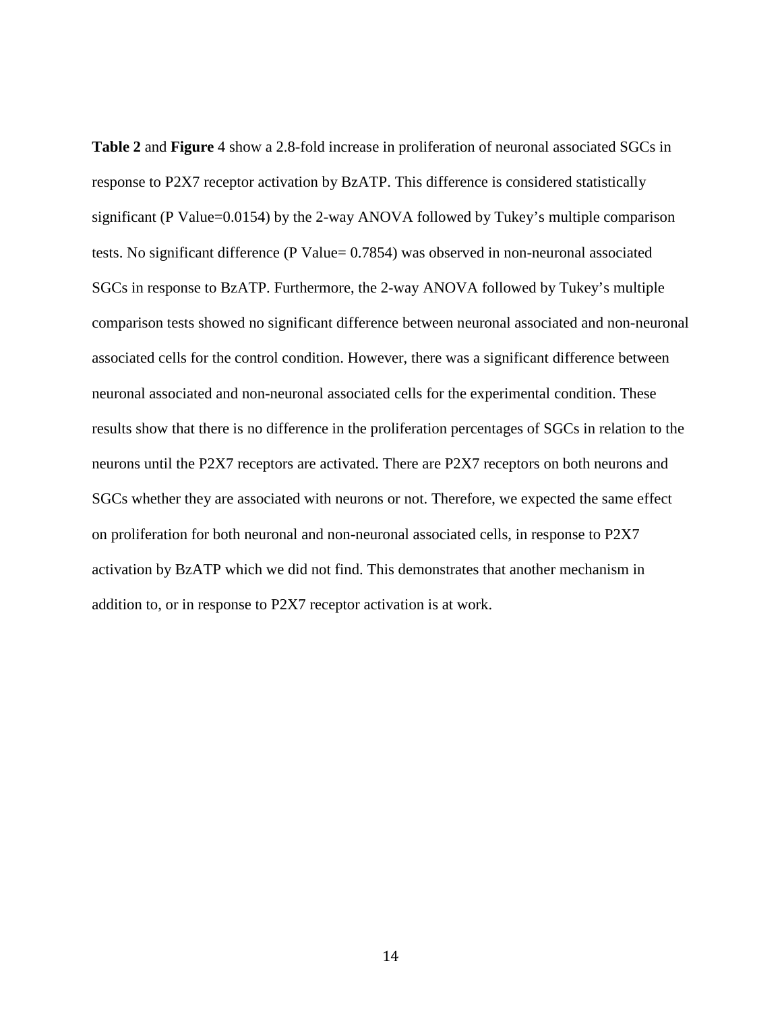**Table 2** and **Figure** 4 show a 2.8-fold increase in proliferation of neuronal associated SGCs in response to P2X7 receptor activation by BzATP. This difference is considered statistically significant (P Value=0.0154) by the 2-way ANOVA followed by Tukey's multiple comparison tests. No significant difference (P Value= 0.7854) was observed in non-neuronal associated SGCs in response to BzATP. Furthermore, the 2-way ANOVA followed by Tukey's multiple comparison tests showed no significant difference between neuronal associated and non-neuronal associated cells for the control condition. However, there was a significant difference between neuronal associated and non-neuronal associated cells for the experimental condition. These results show that there is no difference in the proliferation percentages of SGCs in relation to the neurons until the P2X7 receptors are activated. There are P2X7 receptors on both neurons and SGCs whether they are associated with neurons or not. Therefore, we expected the same effect on proliferation for both neuronal and non-neuronal associated cells, in response to P2X7 activation by BzATP which we did not find. This demonstrates that another mechanism in addition to, or in response to P2X7 receptor activation is at work.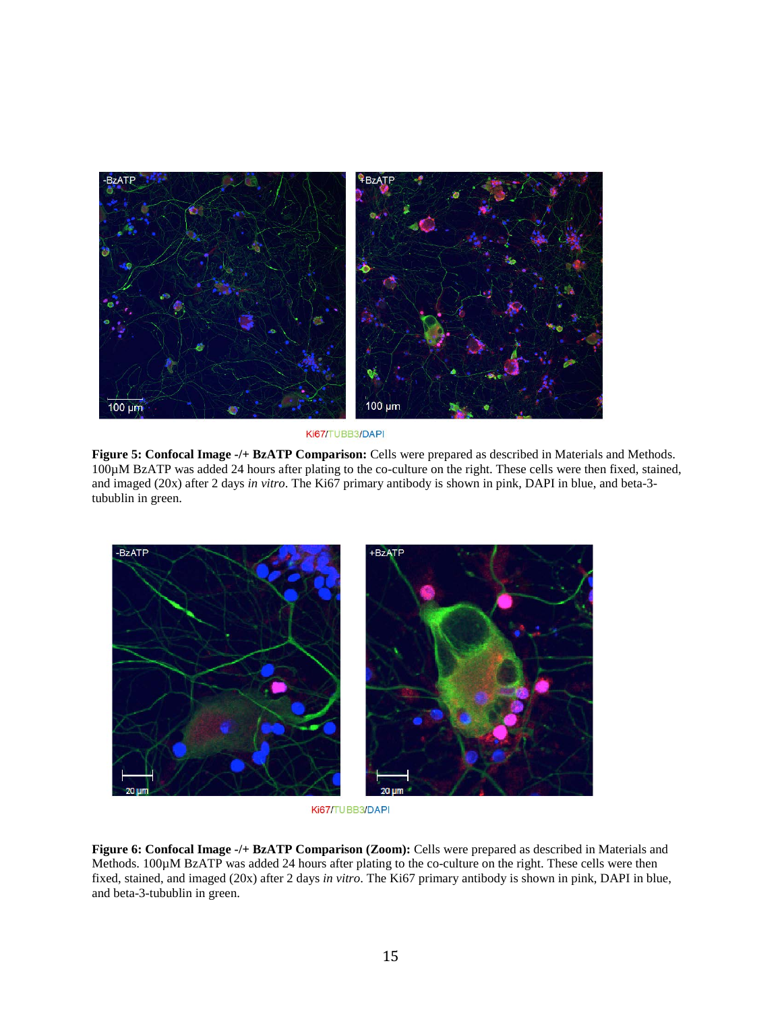

Ki67/TUBB3/DAPI

**Figure 5: Confocal Image -/+ BzATP Comparison:** Cells were prepared as described in Materials and Methods. 100µM BzATP was added 24 hours after plating to the co-culture on the right. These cells were then fixed, stained, and imaged (20x) after 2 days *in vitro*. The Ki67 primary antibody is shown in pink, DAPI in blue, and beta-3 tubublin in green.



Ki67/TUBB3/DAPI

**Figure 6: Confocal Image -/+ BzATP Comparison (Zoom):** Cells were prepared as described in Materials and Methods. 100 $\mu$ M BzATP was added 24 hours after plating to the co-culture on the right. These cells were then fixed, stained, and imaged (20x) after 2 days *in vitro*. The Ki67 primary antibody is shown in pink, DAPI in blue, and beta-3-tubublin in green.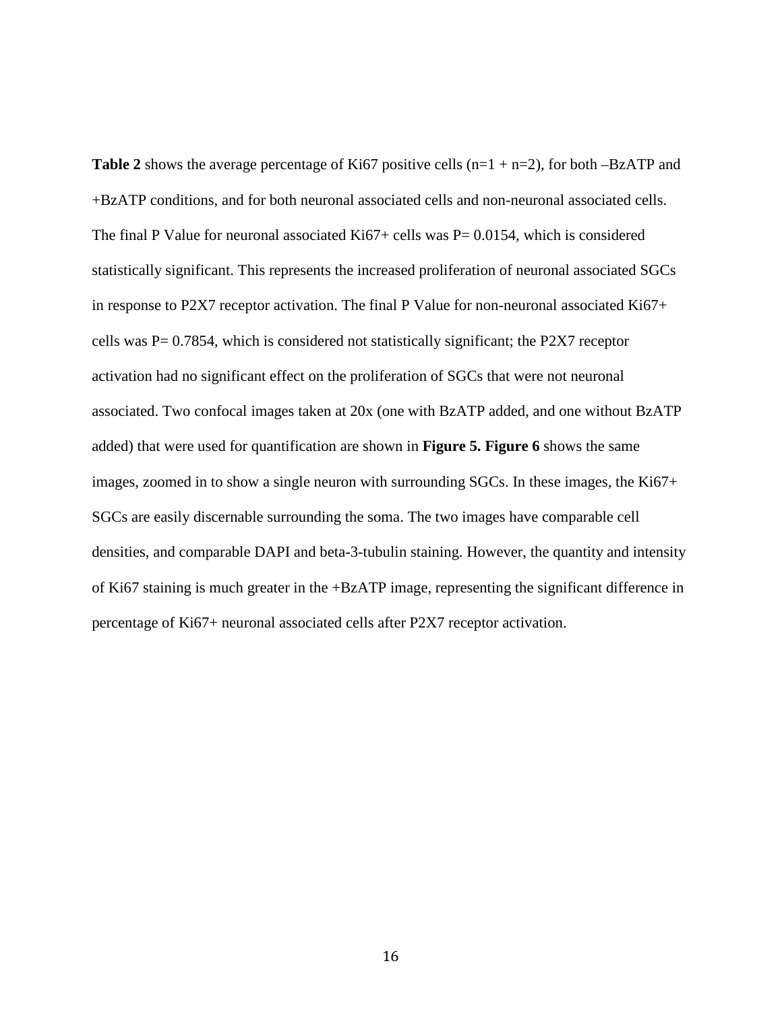**Table 2** shows the average percentage of Ki67 positive cells  $(n=1 + n=2)$ , for both –BzATP and +BzATP conditions, and for both neuronal associated cells and non-neuronal associated cells. The final P Value for neuronal associated Ki67+ cells was  $P = 0.0154$ , which is considered statistically significant. This represents the increased proliferation of neuronal associated SGCs in response to P2X7 receptor activation. The final P Value for non-neuronal associated Ki67+ cells was P= 0.7854, which is considered not statistically significant; the P2X7 receptor activation had no significant effect on the proliferation of SGCs that were not neuronal associated. Two confocal images taken at 20x (one with BzATP added, and one without BzATP added) that were used for quantification are shown in **Figure 5. Figure 6** shows the same images, zoomed in to show a single neuron with surrounding SGCs. In these images, the Ki67+ SGCs are easily discernable surrounding the soma. The two images have comparable cell densities, and comparable DAPI and beta-3-tubulin staining. However, the quantity and intensity of Ki67 staining is much greater in the +BzATP image, representing the significant difference in percentage of Ki67+ neuronal associated cells after P2X7 receptor activation.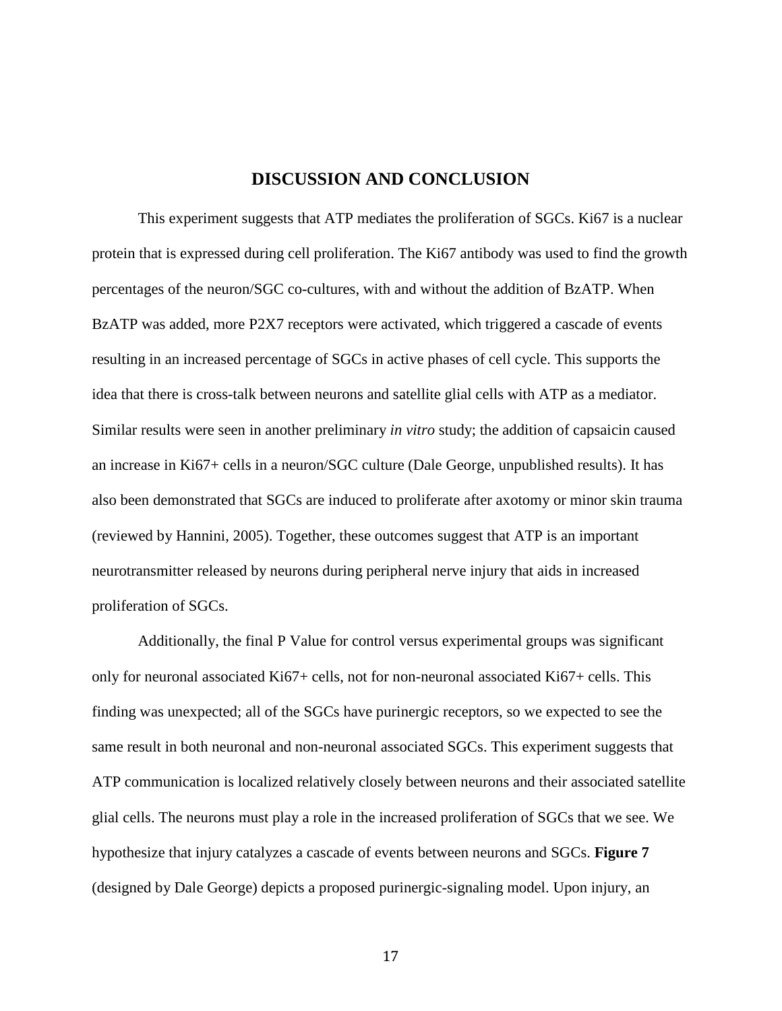## **DISCUSSION AND CONCLUSION**

This experiment suggests that ATP mediates the proliferation of SGCs. Ki67 is a nuclear protein that is expressed during cell proliferation. The Ki67 antibody was used to find the growth percentages of the neuron/SGC co-cultures, with and without the addition of BzATP. When BzATP was added, more P2X7 receptors were activated, which triggered a cascade of events resulting in an increased percentage of SGCs in active phases of cell cycle. This supports the idea that there is cross-talk between neurons and satellite glial cells with ATP as a mediator. Similar results were seen in another preliminary *in vitro* study; the addition of capsaicin caused an increase in Ki67+ cells in a neuron/SGC culture (Dale George, unpublished results). It has also been demonstrated that SGCs are induced to proliferate after axotomy or minor skin trauma (reviewed by Hannini, 2005). Together, these outcomes suggest that ATP is an important neurotransmitter released by neurons during peripheral nerve injury that aids in increased proliferation of SGCs.

Additionally, the final P Value for control versus experimental groups was significant only for neuronal associated Ki67+ cells, not for non-neuronal associated Ki67+ cells. This finding was unexpected; all of the SGCs have purinergic receptors, so we expected to see the same result in both neuronal and non-neuronal associated SGCs. This experiment suggests that ATP communication is localized relatively closely between neurons and their associated satellite glial cells. The neurons must play a role in the increased proliferation of SGCs that we see. We hypothesize that injury catalyzes a cascade of events between neurons and SGCs. **Figure 7** (designed by Dale George) depicts a proposed purinergic-signaling model. Upon injury, an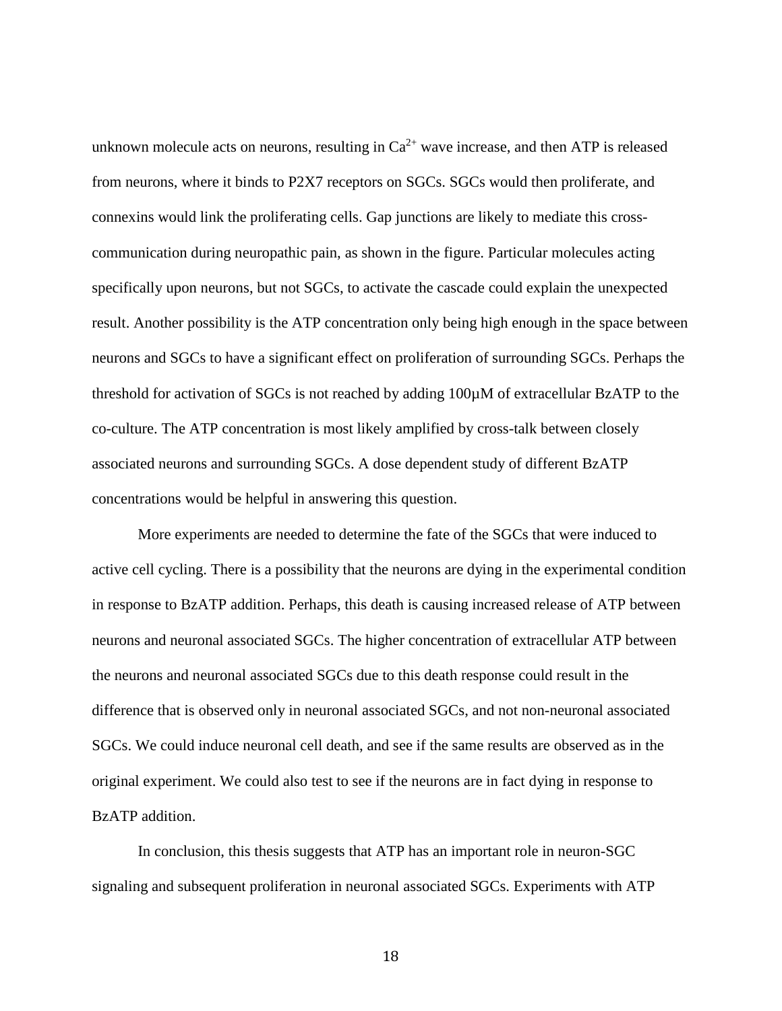unknown molecule acts on neurons, resulting in  $Ca^{2+}$  wave increase, and then ATP is released from neurons, where it binds to P2X7 receptors on SGCs. SGCs would then proliferate, and connexins would link the proliferating cells. Gap junctions are likely to mediate this crosscommunication during neuropathic pain, as shown in the figure. Particular molecules acting specifically upon neurons, but not SGCs, to activate the cascade could explain the unexpected result. Another possibility is the ATP concentration only being high enough in the space between neurons and SGCs to have a significant effect on proliferation of surrounding SGCs. Perhaps the threshold for activation of SGCs is not reached by adding 100µM of extracellular BzATP to the co-culture. The ATP concentration is most likely amplified by cross-talk between closely associated neurons and surrounding SGCs. A dose dependent study of different BzATP concentrations would be helpful in answering this question.

More experiments are needed to determine the fate of the SGCs that were induced to active cell cycling. There is a possibility that the neurons are dying in the experimental condition in response to BzATP addition. Perhaps, this death is causing increased release of ATP between neurons and neuronal associated SGCs. The higher concentration of extracellular ATP between the neurons and neuronal associated SGCs due to this death response could result in the difference that is observed only in neuronal associated SGCs, and not non-neuronal associated SGCs. We could induce neuronal cell death, and see if the same results are observed as in the original experiment. We could also test to see if the neurons are in fact dying in response to BzATP addition.

In conclusion, this thesis suggests that ATP has an important role in neuron-SGC signaling and subsequent proliferation in neuronal associated SGCs. Experiments with ATP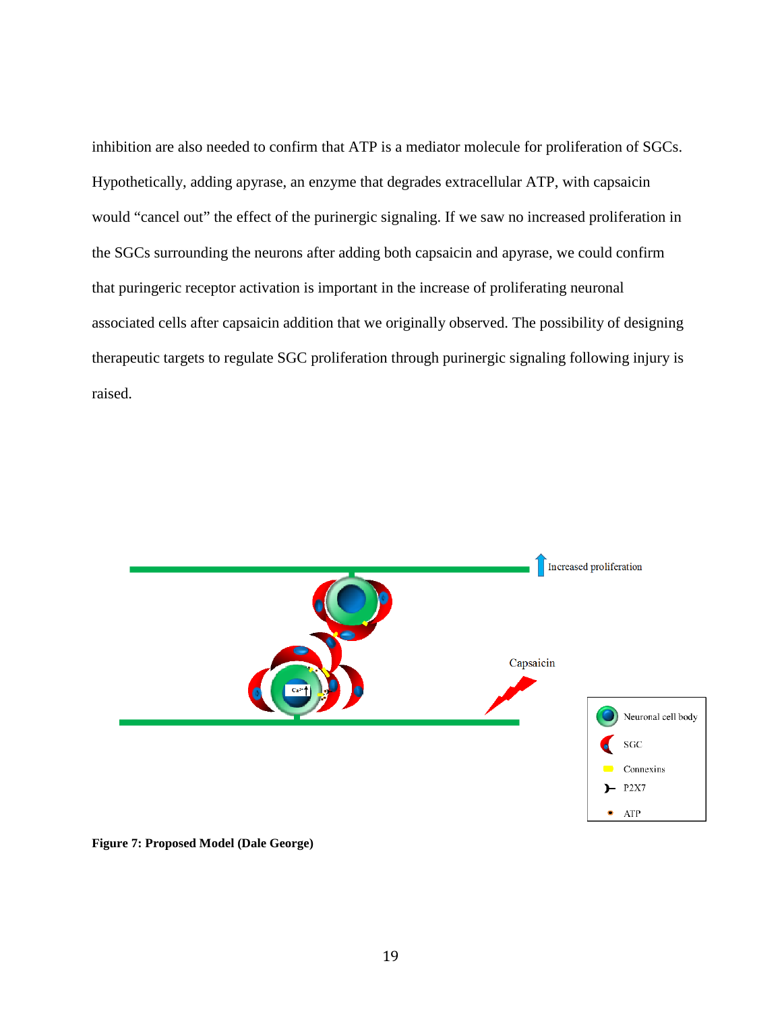inhibition are also needed to confirm that ATP is a mediator molecule for proliferation of SGCs. Hypothetically, adding apyrase, an enzyme that degrades extracellular ATP, with capsaicin would "cancel out" the effect of the purinergic signaling. If we saw no increased proliferation in the SGCs surrounding the neurons after adding both capsaicin and apyrase, we could confirm that puringeric receptor activation is important in the increase of proliferating neuronal associated cells after capsaicin addition that we originally observed. The possibility of designing therapeutic targets to regulate SGC proliferation through purinergic signaling following injury is raised.



**Figure 7: Proposed Model (Dale George)**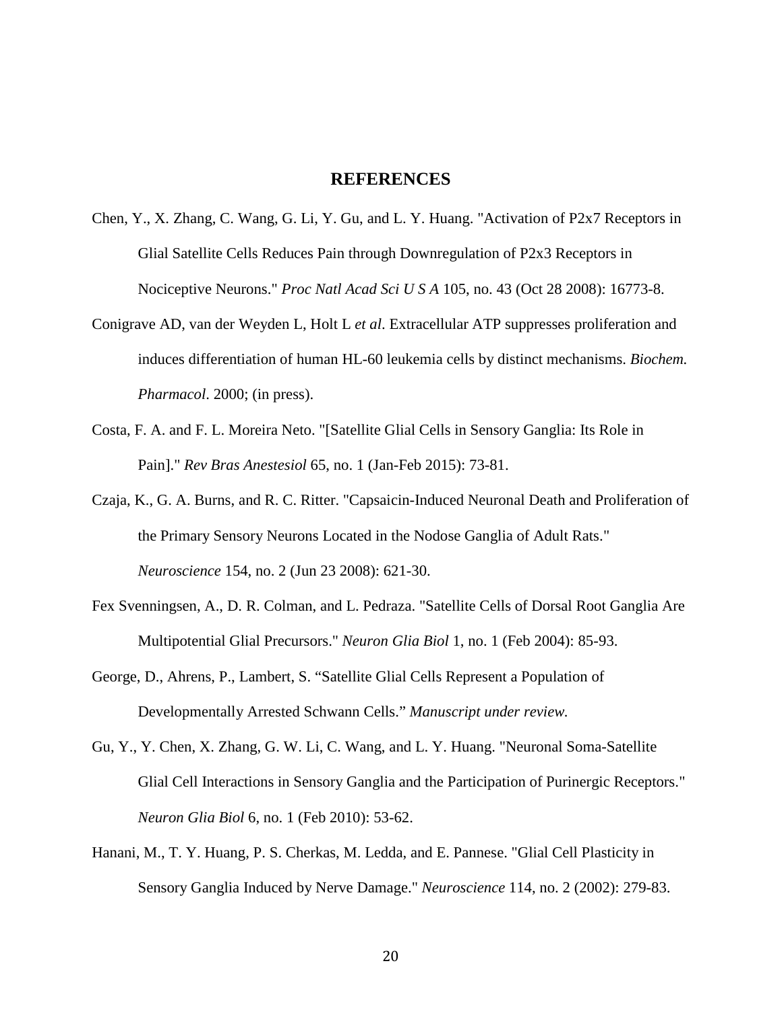#### **REFERENCES**

- Chen, Y., X. Zhang, C. Wang, G. Li, Y. Gu, and L. Y. Huang. "Activation of P2x7 Receptors in Glial Satellite Cells Reduces Pain through Downregulation of P2x3 Receptors in Nociceptive Neurons." *Proc Natl Acad Sci U S A* 105, no. 43 (Oct 28 2008): 16773-8.
- Conigrave AD, van der Weyden L, Holt L *et al*. Extracellular ATP suppresses proliferation and induces differentiation of human HL-60 leukemia cells by distinct mechanisms. *Biochem. Pharmacol*. 2000; (in press).
- Costa, F. A. and F. L. Moreira Neto. "[Satellite Glial Cells in Sensory Ganglia: Its Role in Pain]." *Rev Bras Anestesiol* 65, no. 1 (Jan-Feb 2015): 73-81.
- Czaja, K., G. A. Burns, and R. C. Ritter. "Capsaicin-Induced Neuronal Death and Proliferation of the Primary Sensory Neurons Located in the Nodose Ganglia of Adult Rats." *Neuroscience* 154, no. 2 (Jun 23 2008): 621-30.
- Fex Svenningsen, A., D. R. Colman, and L. Pedraza. "Satellite Cells of Dorsal Root Ganglia Are Multipotential Glial Precursors." *Neuron Glia Biol* 1, no. 1 (Feb 2004): 85-93.
- George, D., Ahrens, P., Lambert, S. "Satellite Glial Cells Represent a Population of Developmentally Arrested Schwann Cells." *Manuscript under review.*
- Gu, Y., Y. Chen, X. Zhang, G. W. Li, C. Wang, and L. Y. Huang. "Neuronal Soma-Satellite Glial Cell Interactions in Sensory Ganglia and the Participation of Purinergic Receptors." *Neuron Glia Biol* 6, no. 1 (Feb 2010): 53-62.
- Hanani, M., T. Y. Huang, P. S. Cherkas, M. Ledda, and E. Pannese. "Glial Cell Plasticity in Sensory Ganglia Induced by Nerve Damage." *Neuroscience* 114, no. 2 (2002): 279-83.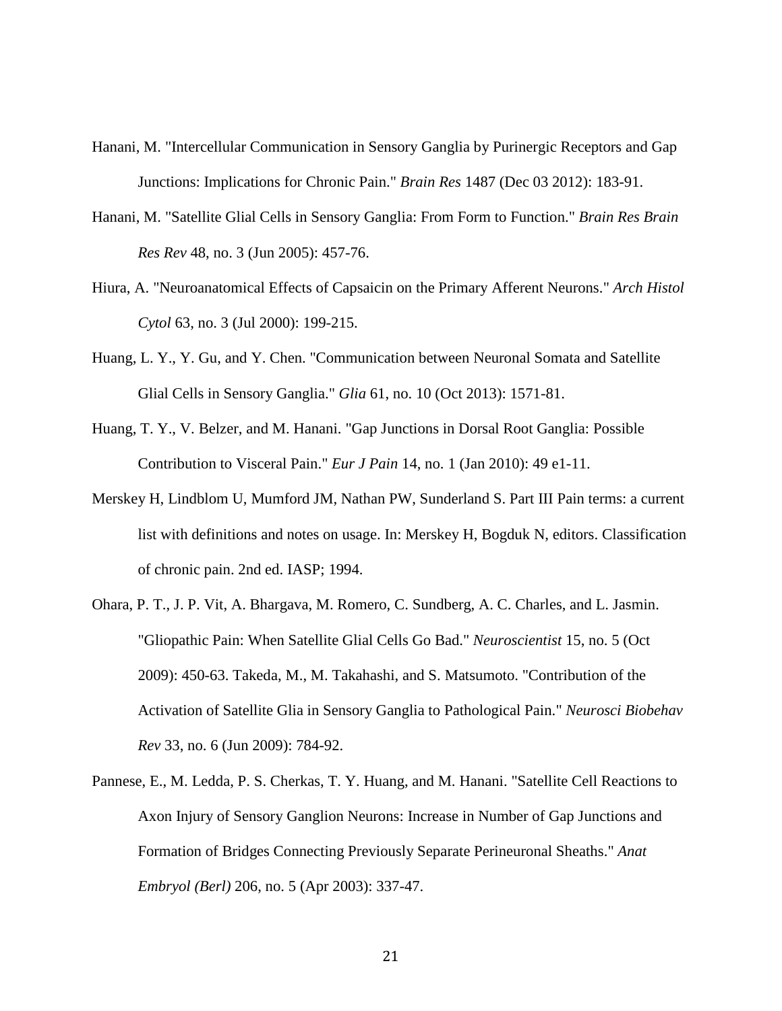- Hanani, M. "Intercellular Communication in Sensory Ganglia by Purinergic Receptors and Gap Junctions: Implications for Chronic Pain." *Brain Res* 1487 (Dec 03 2012): 183-91.
- Hanani, M. "Satellite Glial Cells in Sensory Ganglia: From Form to Function." *Brain Res Brain Res Rev* 48, no. 3 (Jun 2005): 457-76.
- Hiura, A. "Neuroanatomical Effects of Capsaicin on the Primary Afferent Neurons." *Arch Histol Cytol* 63, no. 3 (Jul 2000): 199-215.
- Huang, L. Y., Y. Gu, and Y. Chen. "Communication between Neuronal Somata and Satellite Glial Cells in Sensory Ganglia." *Glia* 61, no. 10 (Oct 2013): 1571-81.
- Huang, T. Y., V. Belzer, and M. Hanani. "Gap Junctions in Dorsal Root Ganglia: Possible Contribution to Visceral Pain." *Eur J Pain* 14, no. 1 (Jan 2010): 49 e1-11.
- Merskey H, Lindblom U, Mumford JM, Nathan PW, Sunderland S. Part III Pain terms: a current list with definitions and notes on usage. In: Merskey H, Bogduk N, editors. Classification of chronic pain. 2nd ed. IASP; 1994.
- Ohara, P. T., J. P. Vit, A. Bhargava, M. Romero, C. Sundberg, A. C. Charles, and L. Jasmin. "Gliopathic Pain: When Satellite Glial Cells Go Bad." *Neuroscientist* 15, no. 5 (Oct 2009): 450-63. Takeda, M., M. Takahashi, and S. Matsumoto. "Contribution of the Activation of Satellite Glia in Sensory Ganglia to Pathological Pain." *Neurosci Biobehav Rev* 33, no. 6 (Jun 2009): 784-92.
- Pannese, E., M. Ledda, P. S. Cherkas, T. Y. Huang, and M. Hanani. "Satellite Cell Reactions to Axon Injury of Sensory Ganglion Neurons: Increase in Number of Gap Junctions and Formation of Bridges Connecting Previously Separate Perineuronal Sheaths." *Anat Embryol (Berl)* 206, no. 5 (Apr 2003): 337-47.